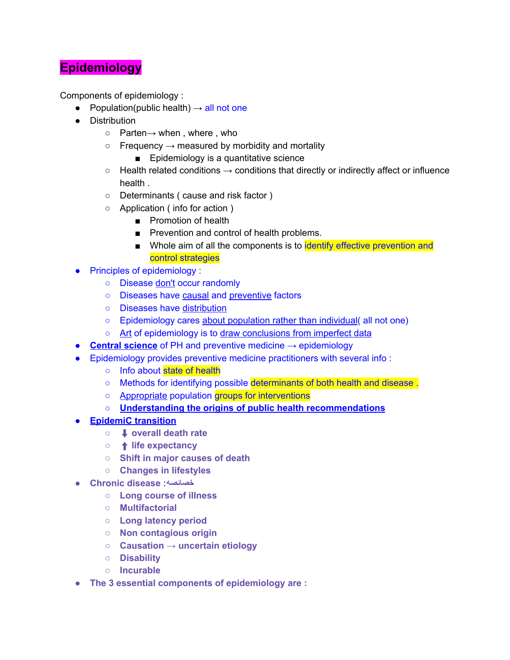## **Epidemiology**

Components of epidemiology :

- Population(public health)  $\rightarrow$  all not one
- Distribution
	- Parten→ when , where , who
	- $\circ$  Frequency  $\rightarrow$  measured by morbidity and mortality
		- Epidemiology is a quantitative science
	- $\circ$  Health related conditions  $\rightarrow$  conditions that directly or indirectly affect or influence health .
	- Determinants ( cause and risk factor )
	- Application ( info for action )
		- Promotion of health
		- Prevention and control of health problems.
		- Whole aim of all the components is to identify effective prevention and control strategies
- Principles of epidemiology :
	- Disease don't occur randomly
	- Diseases have causal and preventive factors
	- Diseases have distribution
	- Epidemiology cares about population rather than individual( all not one)
	- Art of epidemiology is to draw conclusions from imperfect data
- **Central science** of PH and preventive medicine → epidemiology
- Epidemiology provides preventive medicine practitioners with several info :
	- Info about state of health
	- Methods for identifying possible determinants of both health and disease.
		- Appropriate population groups for interventions
		- **○ Understanding the origins of public health recommendations**
- **● EpidemiC transition**
	- **○** ⬇ **overall death rate**
	- **○** ⬆ **life expectancy**
	- **○ Shift in major causes of death**
	- **○ Changes in lifestyles**
- **● Chronic disease :خصائصه**
	- **○ Long course of illness**
	- **○ Multifactorial**
	- **○ Long latency period**
	- **○ Non contagious origin**
	- **○ Causation → uncertain etiology**
	- **○ Disability**
	- **○ Incurable**
- **● The 3 essential components of epidemiology are :**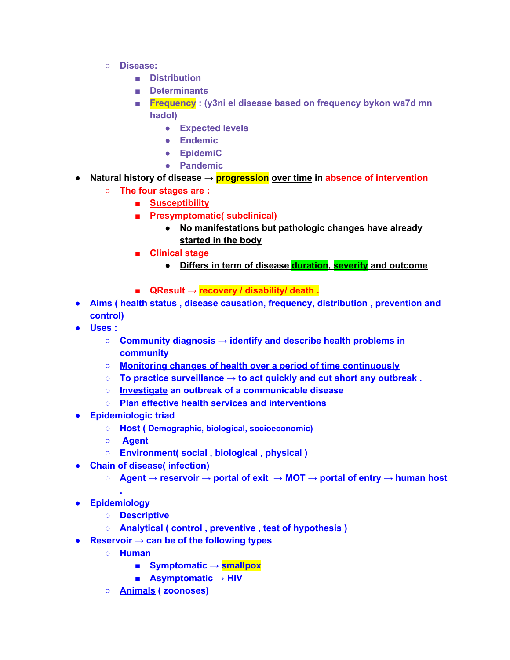- **○ Disease:**
	- **■ Distribution**
	- **■ Determinants**
	- **■ Frequency : (y3ni el disease based on frequency bykon wa7d mn hadol)**
		- **● Expected levels**
		- **● Endemic**
		- **● EpidemiC**
		- **● Pandemic**
- **● Natural history of disease → progression over time in absence of intervention**
	- **○ The four stages are :**
		- **■ Susceptibility**
		- **■ Presymptomatic( subclinical)**
			- **● No manifestations but pathologic changes have already started in the body**
		- **■ Clinical stage**
			- **● Differs in term of disease duration, severity and outcome**
		- **■ QResult → recovery / disability/ death .**
- **● Aims ( health status , disease causation, frequency, distribution , prevention and control)**
- **● Uses :**
	- **○ Community diagnosis → identify and describe health problems in community**
	- **○ Monitoring changes of health over a period of time continuously**
	- **○ To practice surveillance → to act quickly and cut short any outbreak .**
	- **○ Investigate an outbreak of a communicable disease**
	- **○ Plan effective health services and interventions**
- **● Epidemiologic triad**
	- **○ Host ( Demographic, biological, socioeconomic)**
	- **○ Agent**
	- **○ Environment( social , biological , physical )**
- **● Chain of disease( infection)**
	- **○ Agent → reservoir → portal of exit → MOT → portal of entry → human host**
- **● Epidemiology**

**.**

- **○ Descriptive**
- **○ Analytical ( control , preventive , test of hypothesis )**
- **● Reservoir → can be of the following types**
	- **○ Human**
		- **■ Symptomatic → smallpox**
		- **■ Asymptomatic → HIV**
	- **○ Animals ( zoonoses)**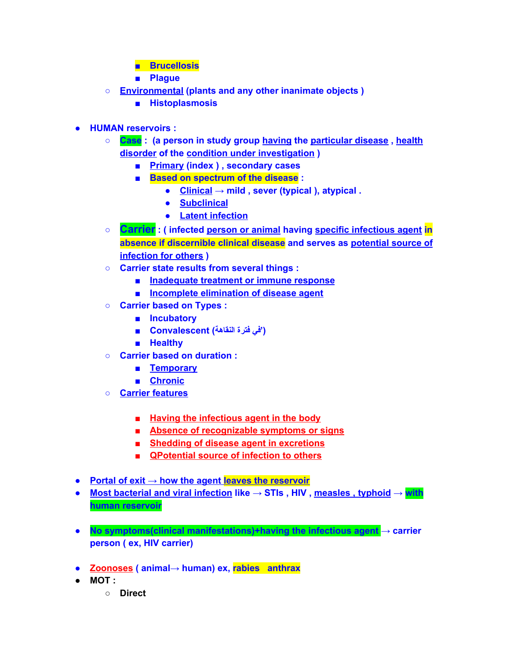- **■ Brucellosis**
- **■ Plague**
- **○ Environmental (plants and any other inanimate objects )**
	- **■ Histoplasmosis**
- **● HUMAN reservoirs :**
	- **○ Case : (a person in study group having the particular disease , health disorder of the condition under investigation )**
		- **■ Primary (index ) , secondary cases**
		- **■ Based on spectrum of the disease :**
			- **● Clinical → mild , sever (typical ), atypical .**
			- **● Subclinical**
			- **● Latent infection**
	- **○ Carrier : ( infected person or animal having specific infectious agent in absence if discernible clinical disease and serves as potential source of infection for others )**
	- **○ Carrier state results from several things :**
		- **■ Inadequate treatment or immune response**
		- **■ Incomplete elimination of disease agent**
	- **○ Carrier based on Types :**
		- **■ Incubatory**
		- **('في فترة النقاهة) Convalescent■**
		- **■ Healthy**
	- **○ Carrier based on duration :**
		- **■ Temporary**
		- **■ Chronic**
	- **○ Carrier features**
		- **■ Having the infectious agent in the body**
		- **■ Absence of recognizable symptoms or signs**
		- **■ Shedding of disease agent in excretions**
		- **■ QPotential source of infection to others**
- **● Portal of exit → how the agent leaves the reservoir**
- **● Most bacterial and viral infection like → STIs , HIV , measles , typhoid → with human reservoir**
- **● No symptoms(clinical manifestations)+having the infectious agent → carrier person ( ex, HIV carrier)**
- **● Zoonoses ( animal→ human) ex, rabies anthrax**
- **● MOT :**
	- **○ Direct**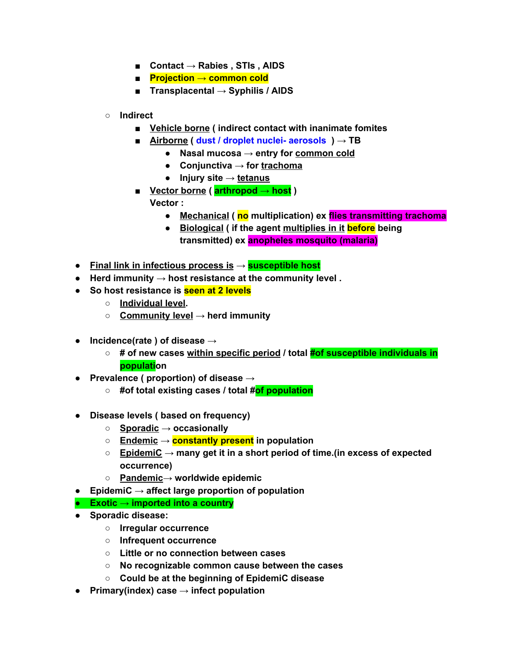- **■ Contact → Rabies , STIs , AIDS**
- **■ Projection → common cold**
- **■ Transplacental → Syphilis / AIDS**
- **○ Indirect**
	- **■ Vehicle borne ( indirect contact with inanimate fomites**
	- **■ Airborne ( dust / droplet nuclei- aerosols ) → TB**
		- **● Nasal mucosa → entry for common cold**
		- **● Conjunctiva → for trachoma**
		- **● Injury site → tetanus**
	- **■ Vector borne ( arthropod → host )**
		- **Vector :**
			- **● Mechanical ( no multiplication) ex flies transmitting trachoma**
			- **● Biological ( if the agent multiplies in it before being transmitted) ex anopheles mosquito (malaria)**
- **● Final link in infectious process is → susceptible host**
- **● Herd immunity → host resistance at the community level .**
- **● So host resistance is seen at 2 levels**
	- **○ Individual level.**
	- **○ Community level → herd immunity**
- **● Incidence(rate ) of disease →**
	- **○ # of new cases within specific period / total #of susceptible individuals in population**
- **● Prevalence ( proportion) of disease →**
	- **○ #of total existing cases / total #of population**
- **● Disease levels ( based on frequency)**
	- **○ Sporadic → occasionally**
	- **○ Endemic → constantly present in population**
	- **○ EpidemiC → many get it in a short period of time.(in excess of expected occurrence)**
	- **○ Pandemic→ worldwide epidemic**
- **● EpidemiC → affect large proportion of population**
- **● Exotic → imported into a country**
- **● Sporadic disease:**
	- **○ Irregular occurrence**
	- **○ Infrequent occurrence**
	- **○ Little or no connection between cases**
	- **○ No recognizable common cause between the cases**
	- **○ Could be at the beginning of EpidemiC disease**
- **● Primary(index) case → infect population**